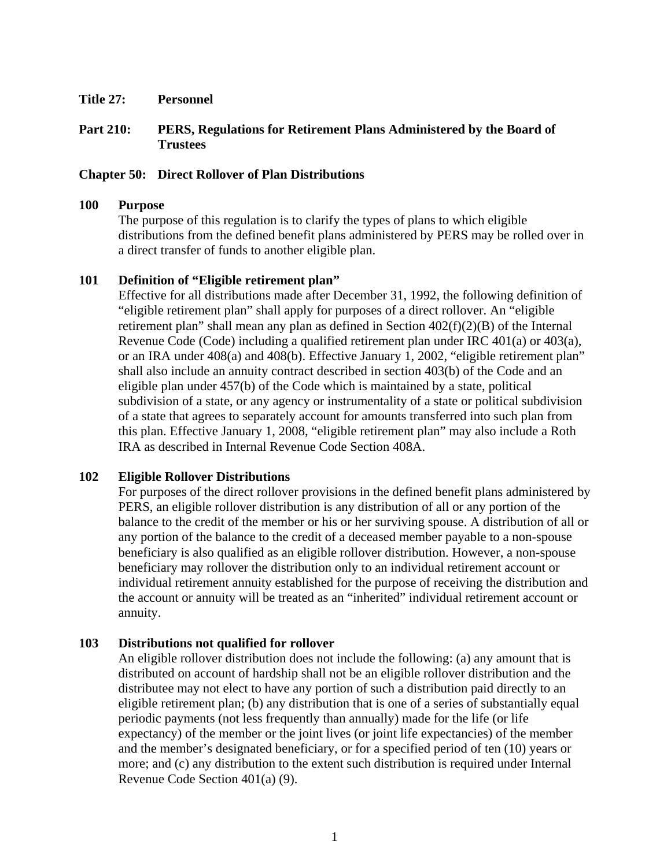**Title 27: Personnel** 

# **Part 210: PERS, Regulations for Retirement Plans Administered by the Board of Trustees**

## **Chapter 50: Direct Rollover of Plan Distributions**

#### **100 Purpose**

The purpose of this regulation is to clarify the types of plans to which eligible distributions from the defined benefit plans administered by PERS may be rolled over in a direct transfer of funds to another eligible plan.

### **101 Definition of "Eligible retirement plan"**

Effective for all distributions made after December 31, 1992, the following definition of "eligible retirement plan" shall apply for purposes of a direct rollover. An "eligible retirement plan" shall mean any plan as defined in Section 402(f)(2)(B) of the Internal Revenue Code (Code) including a qualified retirement plan under IRC 401(a) or 403(a), or an IRA under 408(a) and 408(b). Effective January 1, 2002, "eligible retirement plan" shall also include an annuity contract described in section 403(b) of the Code and an eligible plan under 457(b) of the Code which is maintained by a state, political subdivision of a state, or any agency or instrumentality of a state or political subdivision of a state that agrees to separately account for amounts transferred into such plan from this plan. Effective January 1, 2008, "eligible retirement plan" may also include a Roth IRA as described in Internal Revenue Code Section 408A.

### **102 Eligible Rollover Distributions**

For purposes of the direct rollover provisions in the defined benefit plans administered by PERS, an eligible rollover distribution is any distribution of all or any portion of the balance to the credit of the member or his or her surviving spouse. A distribution of all or any portion of the balance to the credit of a deceased member payable to a non-spouse beneficiary is also qualified as an eligible rollover distribution. However, a non-spouse beneficiary may rollover the distribution only to an individual retirement account or individual retirement annuity established for the purpose of receiving the distribution and the account or annuity will be treated as an "inherited" individual retirement account or annuity.

### **103 Distributions not qualified for rollover**

An eligible rollover distribution does not include the following: (a) any amount that is distributed on account of hardship shall not be an eligible rollover distribution and the distributee may not elect to have any portion of such a distribution paid directly to an eligible retirement plan; (b) any distribution that is one of a series of substantially equal periodic payments (not less frequently than annually) made for the life (or life expectancy) of the member or the joint lives (or joint life expectancies) of the member and the member's designated beneficiary, or for a specified period of ten (10) years or more; and (c) any distribution to the extent such distribution is required under Internal Revenue Code Section 401(a) (9).